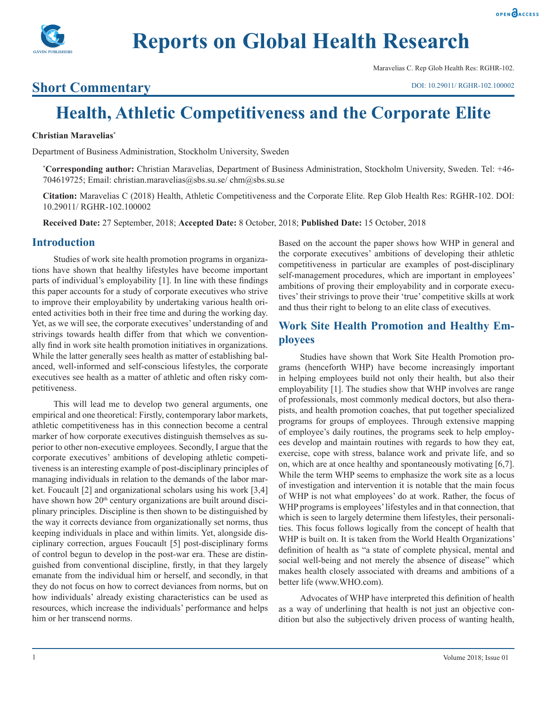

Maravelias C. Rep Glob Health Res: RGHR-102.

## **Short Commentary**

# **Health, Athletic Competitiveness and the Corporate Elite**

#### **Christian Maravelias\***

Department of Business Administration, Stockholm University, Sweden

**\* Corresponding author:** Christian Maravelias, Department of Business Administration, Stockholm University, Sweden. Tel: +46- 704619725; Email: christian.maravelias@sbs.su.se/ chm@sbs.su.se

**Citation:** Maravelias C (2018) Health, Athletic Competitiveness and the Corporate Elite. Rep Glob Health Res: RGHR-102. DOI: 10.29011/ RGHR-102.100002

**Received Date:** 27 September, 2018; **Accepted Date:** 8 October, 2018; **Published Date:** 15 October, 2018

## **Introduction**

Studies of work site health promotion programs in organizations have shown that healthy lifestyles have become important parts of individual's employability [1]. In line with these findings this paper accounts for a study of corporate executives who strive to improve their employability by undertaking various health oriented activities both in their free time and during the working day. Yet, as we will see, the corporate executives' understanding of and strivings towards health differ from that which we conventionally find in work site health promotion initiatives in organizations. While the latter generally sees health as matter of establishing balanced, well-informed and self-conscious lifestyles, the corporate executives see health as a matter of athletic and often risky competitiveness.

This will lead me to develop two general arguments, one empirical and one theoretical: Firstly, contemporary labor markets, athletic competitiveness has in this connection become a central marker of how corporate executives distinguish themselves as superior to other non-executive employees. Secondly, I argue that the corporate executives' ambitions of developing athletic competitiveness is an interesting example of post-disciplinary principles of managing individuals in relation to the demands of the labor market. Foucault [2] and organizational scholars using his work [3,4] have shown how 20<sup>th</sup> century organizations are built around disciplinary principles. Discipline is then shown to be distinguished by the way it corrects deviance from organizationally set norms, thus keeping individuals in place and within limits. Yet, alongside disciplinary correction, argues Foucault [5] post-disciplinary forms of control begun to develop in the post-war era. These are distinguished from conventional discipline, firstly, in that they largely emanate from the individual him or herself, and secondly, in that they do not focus on how to correct deviances from norms, but on how individuals' already existing characteristics can be used as resources, which increase the individuals' performance and helps him or her transcend norms.

Based on the account the paper shows how WHP in general and the corporate executives' ambitions of developing their athletic competitiveness in particular are examples of post-disciplinary self-management procedures, which are important in employees' ambitions of proving their employability and in corporate executives' their strivings to prove their 'true' competitive skills at work and thus their right to belong to an elite class of executives.

## **Work Site Health Promotion and Healthy Employees**

Studies have shown that Work Site Health Promotion programs (henceforth WHP) have become increasingly important in helping employees build not only their health, but also their employability [1]. The studies show that WHP involves are range of professionals, most commonly medical doctors, but also therapists, and health promotion coaches, that put together specialized programs for groups of employees. Through extensive mapping of employee's daily routines, the programs seek to help employees develop and maintain routines with regards to how they eat, exercise, cope with stress, balance work and private life, and so on, which are at once healthy and spontaneously motivating [6,7]. While the term WHP seems to emphasize the work site as a locus of investigation and intervention it is notable that the main focus of WHP is not what employees' do at work. Rather, the focus of WHP programs is employees' lifestyles and in that connection, that which is seen to largely determine them lifestyles, their personalities. This focus follows logically from the concept of health that WHP is built on. It is taken from the World Health Organizations' definition of health as "a state of complete physical, mental and social well-being and not merely the absence of disease" which makes health closely associated with dreams and ambitions of a better life (www.WHO.com).

Advocates of WHP have interpreted this definition of health as a way of underlining that health is not just an objective condition but also the subjectively driven process of wanting health,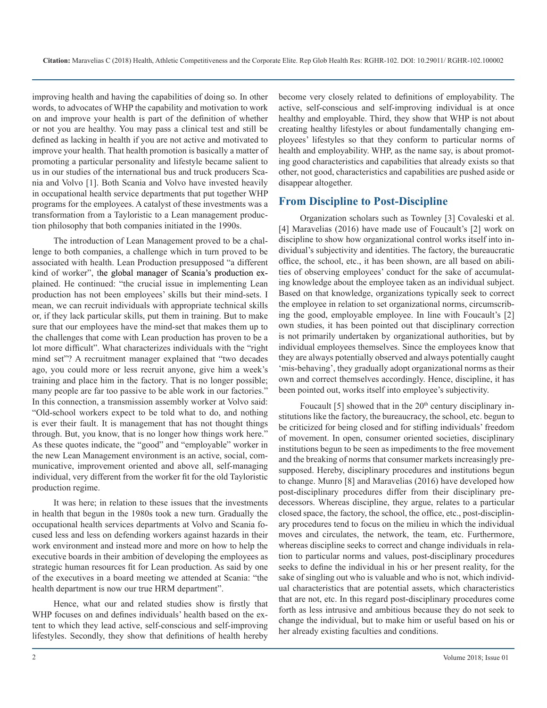improving health and having the capabilities of doing so. In other words, to advocates of WHP the capability and motivation to work on and improve your health is part of the definition of whether or not you are healthy. You may pass a clinical test and still be defined as lacking in health if you are not active and motivated to improve your health. That health promotion is basically a matter of promoting a particular personality and lifestyle became salient to us in our studies of the international bus and truck producers Scania and Volvo [1]. Both Scania and Volvo have invested heavily in occupational health service departments that put together WHP programs for the employees. A catalyst of these investments was a transformation from a Tayloristic to a Lean management production philosophy that both companies initiated in the 1990s.

The introduction of Lean Management proved to be a challenge to both companies, a challenge which in turn proved to be associated with health. Lean Production presupposed "a different kind of worker", the global manager of Scania's production explained. He continued: "the crucial issue in implementing Lean production has not been employees' skills but their mind-sets. I mean, we can recruit individuals with appropriate technical skills or, if they lack particular skills, put them in training. But to make sure that our employees have the mind-set that makes them up to the challenges that come with Lean production has proven to be a lot more difficult". What characterizes individuals with the "right mind set"? A recruitment manager explained that "two decades ago, you could more or less recruit anyone, give him a week's training and place him in the factory. That is no longer possible; many people are far too passive to be able work in our factories." In this connection, a transmission assembly worker at Volvo said: "Old-school workers expect to be told what to do, and nothing is ever their fault. It is management that has not thought things through. But, you know, that is no longer how things work here." As these quotes indicate, the "good" and "employable" worker in the new Lean Management environment is an active, social, communicative, improvement oriented and above all, self-managing individual, very different from the worker fit for the old Tayloristic production regime.

It was here; in relation to these issues that the investments in health that begun in the 1980s took a new turn. Gradually the occupational health services departments at Volvo and Scania focused less and less on defending workers against hazards in their work environment and instead more and more on how to help the executive boards in their ambition of developing the employees as strategic human resources fit for Lean production. As said by one of the executives in a board meeting we attended at Scania: "the health department is now our true HRM department".

Hence, what our and related studies show is firstly that WHP focuses on and defines individuals' health based on the extent to which they lead active, self-conscious and self-improving lifestyles. Secondly, they show that definitions of health hereby become very closely related to definitions of employability. The active, self-conscious and self-improving individual is at once healthy and employable. Third, they show that WHP is not about creating healthy lifestyles or about fundamentally changing employees' lifestyles so that they conform to particular norms of health and employability. WHP, as the name say, is about promoting good characteristics and capabilities that already exists so that other, not good, characteristics and capabilities are pushed aside or disappear altogether.

## **From Discipline to Post-Discipline**

Organization scholars such as Townley [3] Covaleski et al. [4] Maravelias (2016) have made use of Foucault's [2] work on discipline to show how organizational control works itself into individual's subjectivity and identities. The factory, the bureaucratic office, the school, etc., it has been shown, are all based on abilities of observing employees' conduct for the sake of accumulating knowledge about the employee taken as an individual subject. Based on that knowledge, organizations typically seek to correct the employee in relation to set organizational norms, circumscribing the good, employable employee. In line with Foucault's [2] own studies, it has been pointed out that disciplinary correction is not primarily undertaken by organizational authorities, but by individual employees themselves. Since the employees know that they are always potentially observed and always potentially caught 'mis-behaving', they gradually adopt organizational norms as their own and correct themselves accordingly. Hence, discipline, it has been pointed out, works itself into employee's subjectivity.

Foucault  $[5]$  showed that in the  $20<sup>th</sup>$  century disciplinary institutions like the factory, the bureaucracy, the school, etc. begun to be criticized for being closed and for stifling individuals' freedom of movement. In open, consumer oriented societies, disciplinary institutions begun to be seen as impediments to the free movement and the breaking of norms that consumer markets increasingly presupposed. Hereby, disciplinary procedures and institutions begun to change. Munro [8] and Maravelias (2016) have developed how post-disciplinary procedures differ from their disciplinary predecessors. Whereas discipline, they argue, relates to a particular closed space, the factory, the school, the office, etc., post-disciplinary procedures tend to focus on the milieu in which the individual moves and circulates, the network, the team, etc. Furthermore, whereas discipline seeks to correct and change individuals in relation to particular norms and values, post-disciplinary procedures seeks to define the individual in his or her present reality, for the sake of singling out who is valuable and who is not, which individual characteristics that are potential assets, which characteristics that are not, etc. In this regard post-disciplinary procedures come forth as less intrusive and ambitious because they do not seek to change the individual, but to make him or useful based on his or her already existing faculties and conditions.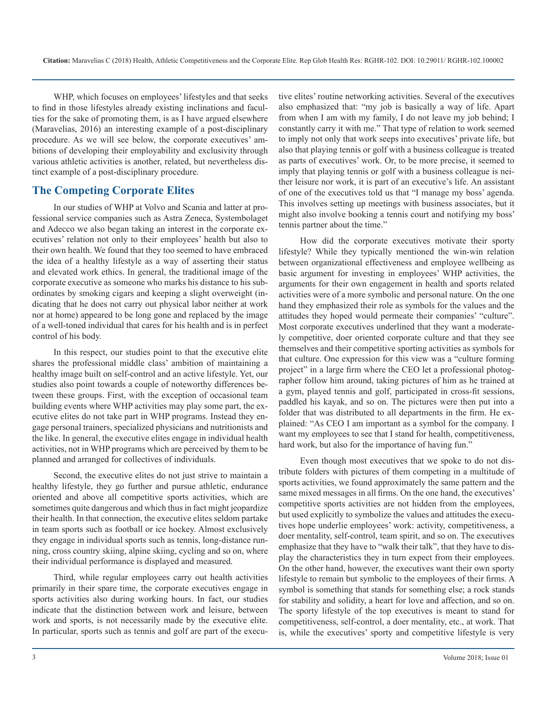WHP, which focuses on employees' lifestyles and that seeks to find in those lifestyles already existing inclinations and faculties for the sake of promoting them, is as I have argued elsewhere (Maravelias, 2016) an interesting example of a post-disciplinary procedure. As we will see below, the corporate executives' ambitions of developing their employability and exclusivity through various athletic activities is another, related, but nevertheless distinct example of a post-disciplinary procedure.

## **The Competing Corporate Elites**

In our studies of WHP at Volvo and Scania and latter at professional service companies such as Astra Zeneca, Systembolaget and Adecco we also began taking an interest in the corporate executives' relation not only to their employees' health but also to their own health. We found that they too seemed to have embraced the idea of a healthy lifestyle as a way of asserting their status and elevated work ethics. In general, the traditional image of the corporate executive as someone who marks his distance to his subordinates by smoking cigars and keeping a slight overweight (indicating that he does not carry out physical labor neither at work nor at home) appeared to be long gone and replaced by the image of a well-toned individual that cares for his health and is in perfect control of his body.

In this respect, our studies point to that the executive elite shares the professional middle class' ambition of maintaining a healthy image built on self-control and an active lifestyle. Yet, our studies also point towards a couple of noteworthy differences between these groups. First, with the exception of occasional team building events where WHP activities may play some part, the executive elites do not take part in WHP programs. Instead they engage personal trainers, specialized physicians and nutritionists and the like. In general, the executive elites engage in individual health activities, not in WHP programs which are perceived by them to be planned and arranged for collectives of individuals.

Second, the executive elites do not just strive to maintain a healthy lifestyle, they go further and pursue athletic, endurance oriented and above all competitive sports activities, which are sometimes quite dangerous and which thus in fact might jeopardize their health. In that connection, the executive elites seldom partake in team sports such as football or ice hockey. Almost exclusively they engage in individual sports such as tennis, long-distance running, cross country skiing, alpine skiing, cycling and so on, where their individual performance is displayed and measured.

Third, while regular employees carry out health activities primarily in their spare time, the corporate executives engage in sports activities also during working hours. In fact, our studies indicate that the distinction between work and leisure, between work and sports, is not necessarily made by the executive elite. In particular, sports such as tennis and golf are part of the executive elites' routine networking activities. Several of the executives also emphasized that: "my job is basically a way of life. Apart from when I am with my family, I do not leave my job behind; I constantly carry it with me." That type of relation to work seemed to imply not only that work seeps into executives' private life, but also that playing tennis or golf with a business colleague is treated as parts of executives' work. Or, to be more precise, it seemed to imply that playing tennis or golf with a business colleague is neither leisure nor work, it is part of an executive's life. An assistant of one of the executives told us that "I manage my boss' agenda. This involves setting up meetings with business associates, but it might also involve booking a tennis court and notifying my boss' tennis partner about the time."

How did the corporate executives motivate their sporty lifestyle? While they typically mentioned the win-win relation between organizational effectiveness and employee wellbeing as basic argument for investing in employees' WHP activities, the arguments for their own engagement in health and sports related activities were of a more symbolic and personal nature. On the one hand they emphasized their role as symbols for the values and the attitudes they hoped would permeate their companies' "culture". Most corporate executives underlined that they want a moderately competitive, doer oriented corporate culture and that they see themselves and their competitive sporting activities as symbols for that culture. One expression for this view was a "culture forming project" in a large firm where the CEO let a professional photographer follow him around, taking pictures of him as he trained at a gym, played tennis and golf, participated in cross-fit sessions, paddled his kayak, and so on. The pictures were then put into a folder that was distributed to all departments in the firm. He explained: "As CEO I am important as a symbol for the company. I want my employees to see that I stand for health, competitiveness, hard work, but also for the importance of having fun."

Even though most executives that we spoke to do not distribute folders with pictures of them competing in a multitude of sports activities, we found approximately the same pattern and the same mixed messages in all firms. On the one hand, the executives' competitive sports activities are not hidden from the employees, but used explicitly to symbolize the values and attitudes the executives hope underlie employees' work: activity, competitiveness, a doer mentality, self-control, team spirit, and so on. The executives emphasize that they have to "walk their talk", that they have to display the characteristics they in turn expect from their employees. On the other hand, however, the executives want their own sporty lifestyle to remain but symbolic to the employees of their firms. A symbol is something that stands for something else; a rock stands for stability and solidity, a heart for love and affection, and so on. The sporty lifestyle of the top executives is meant to stand for competitiveness, self-control, a doer mentality, etc., at work. That is, while the executives' sporty and competitive lifestyle is very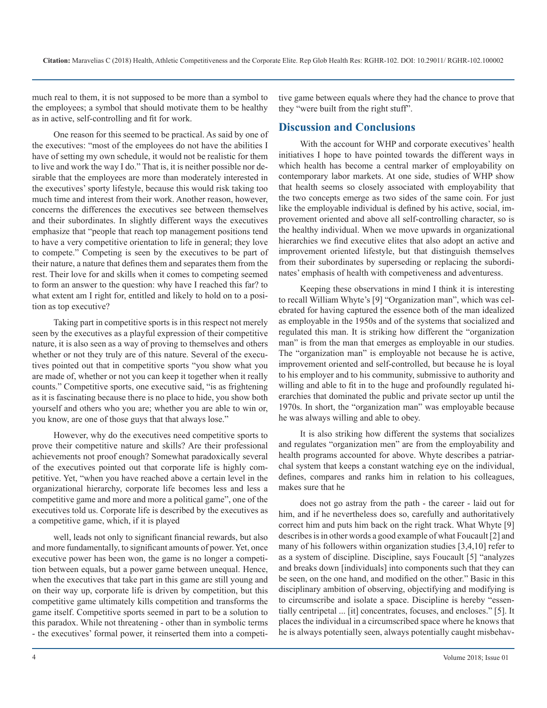much real to them, it is not supposed to be more than a symbol to the employees; a symbol that should motivate them to be healthy as in active, self-controlling and fit for work.

One reason for this seemed to be practical. As said by one of the executives: "most of the employees do not have the abilities I have of setting my own schedule, it would not be realistic for them to live and work the way I do." That is, it is neither possible nor desirable that the employees are more than moderately interested in the executives' sporty lifestyle, because this would risk taking too much time and interest from their work. Another reason, however, concerns the differences the executives see between themselves and their subordinates. In slightly different ways the executives emphasize that "people that reach top management positions tend to have a very competitive orientation to life in general; they love to compete." Competing is seen by the executives to be part of their nature, a nature that defines them and separates them from the rest. Their love for and skills when it comes to competing seemed to form an answer to the question: why have I reached this far? to what extent am I right for, entitled and likely to hold on to a position as top executive?

Taking part in competitive sports is in this respect not merely seen by the executives as a playful expression of their competitive nature, it is also seen as a way of proving to themselves and others whether or not they truly are of this nature. Several of the executives pointed out that in competitive sports "you show what you are made of, whether or not you can keep it together when it really counts." Competitive sports, one executive said, "is as frightening as it is fascinating because there is no place to hide, you show both yourself and others who you are; whether you are able to win or, you know, are one of those guys that that always lose."

However, why do the executives need competitive sports to prove their competitive nature and skills? Are their professional achievements not proof enough? Somewhat paradoxically several of the executives pointed out that corporate life is highly competitive. Yet, "when you have reached above a certain level in the organizational hierarchy, corporate life becomes less and less a competitive game and more and more a political game", one of the executives told us. Corporate life is described by the executives as a competitive game, which, if it is played

well, leads not only to significant financial rewards, but also and more fundamentally, to significant amounts of power. Yet, once executive power has been won, the game is no longer a competition between equals, but a power game between unequal. Hence, when the executives that take part in this game are still young and on their way up, corporate life is driven by competition, but this competitive game ultimately kills competition and transforms the game itself. Competitive sports seemed in part to be a solution to this paradox. While not threatening - other than in symbolic terms - the executives' formal power, it reinserted them into a competitive game between equals where they had the chance to prove that they "were built from the right stuff".

### **Discussion and Conclusions**

With the account for WHP and corporate executives' health initiatives I hope to have pointed towards the different ways in which health has become a central marker of employability on contemporary labor markets. At one side, studies of WHP show that health seems so closely associated with employability that the two concepts emerge as two sides of the same coin. For just like the employable individual is defined by his active, social, improvement oriented and above all self-controlling character, so is the healthy individual. When we move upwards in organizational hierarchies we find executive elites that also adopt an active and improvement oriented lifestyle, but that distinguish themselves from their subordinates by superseding or replacing the subordinates' emphasis of health with competiveness and adventuress.

Keeping these observations in mind I think it is interesting to recall William Whyte's [9] "Organization man", which was celebrated for having captured the essence both of the man idealized as employable in the 1950s and of the systems that socialized and regulated this man. It is striking how different the "organization man" is from the man that emerges as employable in our studies. The "organization man" is employable not because he is active, improvement oriented and self-controlled, but because he is loyal to his employer and to his community, submissive to authority and willing and able to fit in to the huge and profoundly regulated hierarchies that dominated the public and private sector up until the 1970s. In short, the "organization man" was employable because he was always willing and able to obey.

It is also striking how different the systems that socializes and regulates "organization men" are from the employability and health programs accounted for above. Whyte describes a patriarchal system that keeps a constant watching eye on the individual, defines, compares and ranks him in relation to his colleagues, makes sure that he

does not go astray from the path - the career - laid out for him, and if he nevertheless does so, carefully and authoritatively correct him and puts him back on the right track. What Whyte [9] describes is in other words a good example of what Foucault [2] and many of his followers within organization studies [3,4,10] refer to as a system of discipline. Discipline, says Foucault [5] "analyzes and breaks down [individuals] into components such that they can be seen, on the one hand, and modified on the other." Basic in this disciplinary ambition of observing, objectifying and modifying is to circumscribe and isolate a space. Discipline is hereby "essentially centripetal ... [it] concentrates, focuses, and encloses." [5]. It places the individual in a circumscribed space where he knows that he is always potentially seen, always potentially caught misbehav-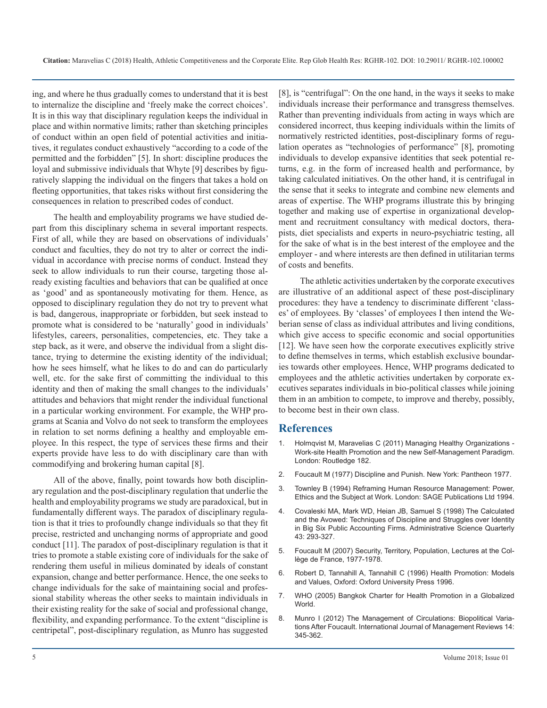ing, and where he thus gradually comes to understand that it is best to internalize the discipline and 'freely make the correct choices'. It is in this way that disciplinary regulation keeps the individual in place and within normative limits; rather than sketching principles of conduct within an open field of potential activities and initiatives, it regulates conduct exhaustively "according to a code of the permitted and the forbidden" [5]. In short: discipline produces the loyal and submissive individuals that Whyte [9] describes by figuratively slapping the individual on the fingers that takes a hold on fleeting opportunities, that takes risks without first considering the consequences in relation to prescribed codes of conduct.

The health and employability programs we have studied depart from this disciplinary schema in several important respects. First of all, while they are based on observations of individuals' conduct and faculties, they do not try to alter or correct the individual in accordance with precise norms of conduct. Instead they seek to allow individuals to run their course, targeting those already existing faculties and behaviors that can be qualified at once as 'good' and as spontaneously motivating for them. Hence, as opposed to disciplinary regulation they do not try to prevent what is bad, dangerous, inappropriate or forbidden, but seek instead to promote what is considered to be 'naturally' good in individuals' lifestyles, careers, personalities, competencies, etc. They take a step back, as it were, and observe the individual from a slight distance, trying to determine the existing identity of the individual; how he sees himself, what he likes to do and can do particularly well, etc. for the sake first of committing the individual to this identity and then of making the small changes to the individuals' attitudes and behaviors that might render the individual functional in a particular working environment. For example, the WHP programs at Scania and Volvo do not seek to transform the employees in relation to set norms defining a healthy and employable employee. In this respect, the type of services these firms and their [experts provide have less to do with disciplinary care than with](https://www.researchgate.net/publication/286933059_Managing_Healthy_Organizations_-_Worksite_Health_Promotion_and_the_New_Self-Management_Paradigm)  commodifying and brokering human capital [8].

All of the above, finally, point towards how both disciplinary regulation and the post-disciplinary regulation that underlie the health and employability programs we study are paradoxical, but in fundamentally different ways. The paradox of disciplinary regulation is that it tries to profoundly change individuals so that they fit precise, restricted and unchanging norms of appropriate and good conduct [11]. The paradox of post-disciplinary regulation is that it [tries to promote a stable existing core of individuals for the sake of](https://link.springer.com/content/pdf/bfm%3A978-0-230-24507-5%2F1.pdf)  rendering them useful in milieus dominated by ideals of constant expansion, change and better performance. Hence, the one seeks to change individuals for the sake of maintaining social and professional stability whereas the other seeks to maintain individuals in [their existing reality for the sake of social and professional change,](http://en.wikipedia.org/wiki/Bangkok_Charter)  flexibility, and expanding performance. To the extent "discipline is centripetal", post-disciplinary regulation, as Munro has suggested

[8], is "centrifugal": On the one hand, in the ways it seeks to make individuals increase their performance and transgress themselves. Rather than preventing individuals from acting in ways which are considered incorrect, thus keeping individuals within the limits of normatively restricted identities, post-disciplinary forms of regulation operates as "technologies of performance" [8], promoting individuals to develop expansive identities that seek potential returns, e.g. in the form of increased health and performance, by taking calculated initiatives. On the other hand, it is centrifugal in the sense that it seeks to integrate and combine new elements and areas of expertise. The WHP programs illustrate this by bringing together and making use of expertise in organizational development and recruitment consultancy with medical doctors, therapists, diet specialists and experts in neuro-psychiatric testing, all for the sake of what is in the best interest of the employee and the employer - and where interests are then defined in utilitarian terms of costs and benefits.

The athletic activities undertaken by the corporate executives are illustrative of an additional aspect of these post-disciplinary procedures: they have a tendency to discriminate different 'classes' of employees. By 'classes' of employees I then intend the Weberian sense of class as individual attributes and living conditions, which give access to specific economic and social opportunities [12]. We have seen how the corporate executives explicitly strive to define themselves in terms, which establish exclusive boundaries towards other employees. Hence, WHP programs dedicated to employees and the athletic activities undertaken by corporate executives separates individuals in bio-political classes while joining them in an ambition to compete, to improve and thereby, possibly, to become best in their own class.

#### **References**

- 1. [Holmqvist M, Maravelias C \(2011\) Managing Healthy Organizations](https://www.researchgate.net/publication/286933059_Managing_Healthy_Organizations_-_Worksite_Health_Promotion_and_the_New_Self-Management_Paradigm)  Work-site Health Promotion and the new Self-Management Paradigm. [London: Routledge 182.](https://www.researchgate.net/publication/286933059_Managing_Healthy_Organizations_-_Worksite_Health_Promotion_and_the_New_Self-Management_Paradigm)
- 2. [Foucault M \(1977\) Discipline and Punish. New York: Pantheon 1977.](http://www.worldcat.org/title/discipline-and-punish-the-birth-of-the-prison/oclc/3328401)
- 3. [Townley B \(1994\) Reframing Human Resource Management: Power,](https://www.amazon.com/Reframing-Human-Resource-Management-Subject/dp/0803984960)  [Ethics and the Subject at Work. London: SAGE Publications Ltd 1994.](https://www.amazon.com/Reframing-Human-Resource-Management-Subject/dp/0803984960)
- 4. [Covaleski MA, Mark WD, Heian JB, Samuel S \(1998\) The Calculated](https://www.researchgate.net/publication/272044466_The_Calculated_and_the_Avowed_Techniques_of_Discipline_and_Struggles_Over_Identity_in_Big_Six_Public_Accounting_Firms)  [and the Avowed: Techniques of Discipline and Struggles over Identity](https://www.researchgate.net/publication/272044466_The_Calculated_and_the_Avowed_Techniques_of_Discipline_and_Struggles_Over_Identity_in_Big_Six_Public_Accounting_Firms)  [in Big Six Public Accounting Firms. Administrative Science Quarterly](https://www.researchgate.net/publication/272044466_The_Calculated_and_the_Avowed_Techniques_of_Discipline_and_Struggles_Over_Identity_in_Big_Six_Public_Accounting_Firms)  [43: 293-327.](https://www.researchgate.net/publication/272044466_The_Calculated_and_the_Avowed_Techniques_of_Discipline_and_Struggles_Over_Identity_in_Big_Six_Public_Accounting_Firms)
- 5. [Foucault M \(2007\) Security, Territory, Population, Lectures at the Col](https://link.springer.com/content/pdf/bfm%3A978-0-230-24507-5%2F1.pdf)lège de France, 1977-1978.
- 6. [Robert D, Tannahill A, Tannahill C \(1996\) Health Promotion: Models](https://global.oup.com/academic/product/health-promotion-models-and-values-9780192625915%3Flang%3Den%26cc%3Dfr)  [and Values, Oxford: Oxford University Press 1996.](https://global.oup.com/academic/product/health-promotion-models-and-values-9780192625915%3Flang%3Den%26cc%3Dfr)
- 7. [WHO \(2005\) Bangkok Charter for Health Promotion in a Globalized](http://en.wikipedia.org/wiki/Bangkok_Charter)  World.
- 8. [Munro I \(2012\) The Management of Circulations: Biopolitical Varia](https://www.researchgate.net/publication/259911817_The_Management_of_Circulations_Biopolitical_Variations_After_Foucault)[tions After Foucault. International Journal of Management Reviews 14:](https://www.researchgate.net/publication/259911817_The_Management_of_Circulations_Biopolitical_Variations_After_Foucault)  [345-362](https://www.researchgate.net/publication/259911817_The_Management_of_Circulations_Biopolitical_Variations_After_Foucault).